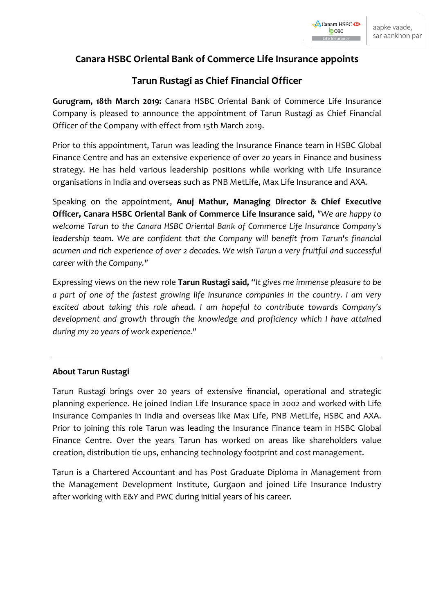## **Canara HSBC Oriental Bank of Commerce Life Insurance appoints**

## **Tarun Rustagi as Chief Financial Officer**

**Gurugram, 18th March 2019:** Canara HSBC Oriental Bank of Commerce Life Insurance Company is pleased to announce the appointment of Tarun Rustagi as Chief Financial Officer of the Company with effect from 15th March 2019.

Prior to this appointment, Tarun was leading the Insurance Finance team in HSBC Global Finance Centre and has an extensive experience of over 20 years in Finance and business strategy. He has held various leadership positions while working with Life Insurance organisations in India and overseas such as PNB MetLife, Max Life Insurance and AXA.

Speaking on the appointment, **Anuj Mathur, Managing Director & Chief Executive Officer, Canara HSBC Oriental Bank of Commerce Life Insurance said,** *"We are happy to welcome Tarun to the Canara HSBC Oriental Bank of Commerce Life Insurance Company's leadership team. We are confident that the Company will benefit from Tarun's financial acumen and rich experience of over 2 decades. We wish Tarun a very fruitful and successful career with the Company."*

Expressing views on the new role **Tarun Rustagi said,** *"It gives me immense pleasure to be a part of one of the fastest growing life insurance companies in the country. I am very excited about taking this role ahead. I am hopeful to contribute towards Company's development and growth through the knowledge and proficiency which I have attained during my 20 years of work experience."*

## **About Tarun Rustagi**

Tarun Rustagi brings over 20 years of extensive financial, operational and strategic planning experience. He joined Indian Life Insurance space in 2002 and worked with Life Insurance Companies in India and overseas like Max Life, PNB MetLife, HSBC and AXA. Prior to joining this role Tarun was leading the Insurance Finance team in HSBC Global Finance Centre. Over the years Tarun has worked on areas like shareholders value creation, distribution tie ups, enhancing technology footprint and cost management.

Tarun is a Chartered Accountant and has Post Graduate Diploma in Management from the Management Development Institute, Gurgaon and joined Life Insurance Industry after working with E&Y and PWC during initial years of his career.